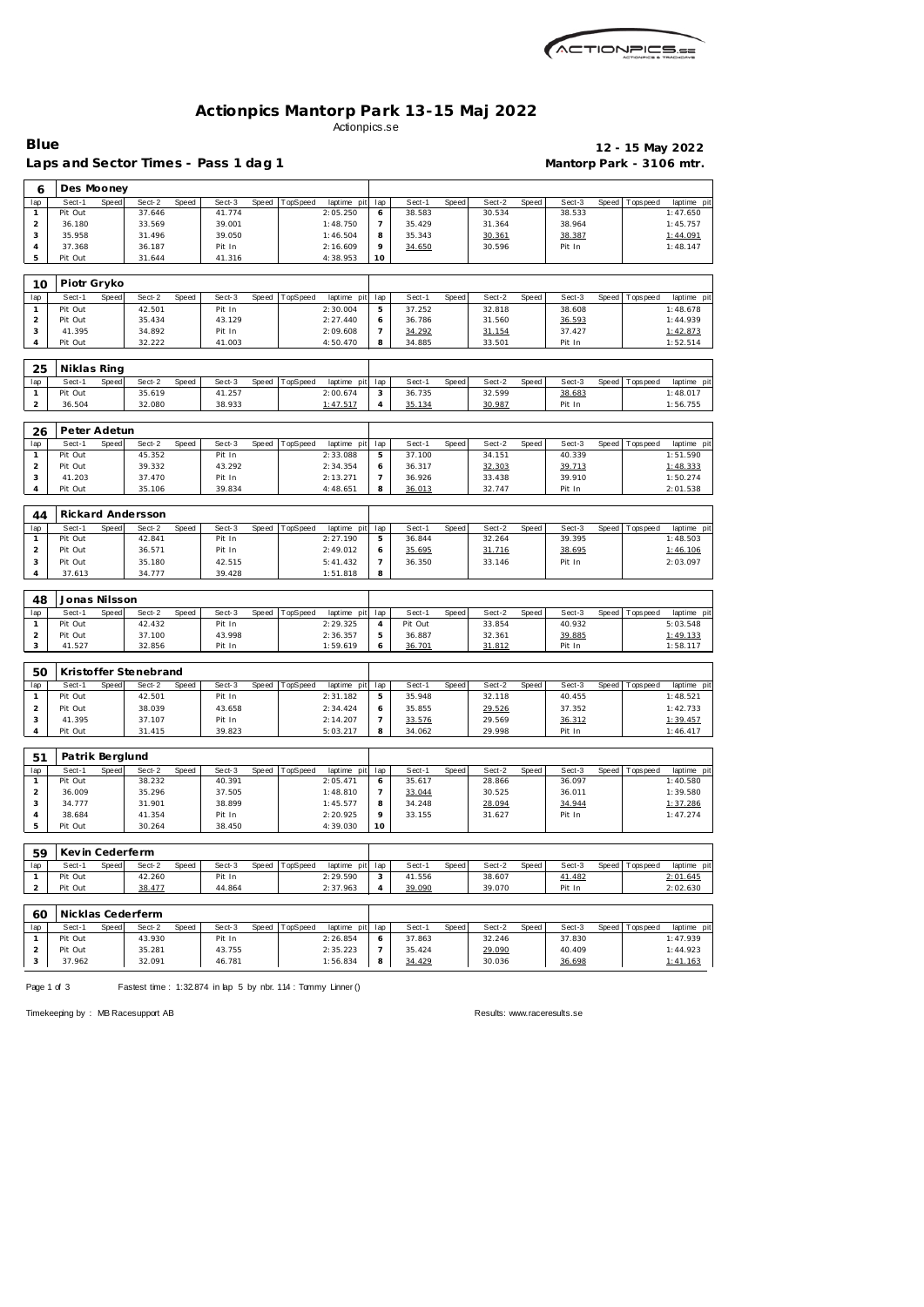| MCTIONPICS.sa |
|---------------|
|               |

## **Actionpics Mantorp Park 13-15 Maj 2022** Actionpics.se

| Blue |                                      |       |        |       |        |                  |             |     |        |       |        |       |                          | 12 - 15 May 2022 |            |
|------|--------------------------------------|-------|--------|-------|--------|------------------|-------------|-----|--------|-------|--------|-------|--------------------------|------------------|------------|
|      | Laps and Sector Times - Pass 1 dag 1 |       |        |       |        |                  |             |     |        |       |        |       | Mantorp Park - 3106 mtr. |                  |            |
| 6    | Des Mooney                           |       |        |       |        |                  |             |     |        |       |        |       |                          |                  |            |
| lap  | Sect-1                               | Speed | Sect-2 | Speed | Sect-3 | Speed   TopSpeed | laptime pit | lap | Sect-1 | Speed | Sect-2 | Speed | Sect-3                   | Speed Topspeed   | laptime pi |
|      | Pit Out                              |       | 37.646 |       | 41.774 |                  | 2:05.250    | 6.  | 38.583 |       | 30.534 |       | 38.533                   |                  | 1:47.650   |
|      | 36.180                               |       | 33.569 |       | 39.001 |                  | 1:48.750    |     | 35.429 |       | 31.364 |       | 38.964                   |                  | 1:45.757   |
| 3    | 35.958                               |       | 31.496 |       | 39.050 |                  | 1:46.504    | 8   | 35.343 |       | 30.361 |       | 38.387                   |                  | 1:44.091   |
|      | 37.368                               |       | 36.187 |       | Pit In |                  | 2:16.609    | 9   | 34.650 |       | 30.596 |       | Pit In                   |                  | 1:48.147   |
| .5   | Pit Out                              |       | 31.644 |       | 41.316 |                  | 4:38.953    | 10  |        |       |        |       |                          |                  |            |
|      |                                      |       |        |       |        |                  |             |     |        |       |        |       |                          |                  |            |
| 10   | Piotr Gryko                          |       |        |       |        |                  |             |     |        |       |        |       |                          |                  |            |

| טו  |         | טאו צויטו |        |       |        |       |                 |                 |        |        |        |       |        |       |           |                 |
|-----|---------|-----------|--------|-------|--------|-------|-----------------|-----------------|--------|--------|--------|-------|--------|-------|-----------|-----------------|
| lap | Sect-1  | Speed     | Sect-2 | Speed | Sect-3 | Speed | <b>TopSpeed</b> | laptime pit lap | Sect-1 | Speed. | Sect-2 | Speed | Sect-3 | Speed | Tops peed | laptime pit     |
|     | Pit Out |           | 42.501 |       | Pit In |       |                 | 2:30.004        | 37.252 |        | 32.818 |       | 38.608 |       |           | 1:48.678        |
|     | Pit Out |           | 35.434 |       | 43.129 |       |                 | 2:27.440        | 36.786 |        | 31.560 |       | 36.593 |       |           | 1:44.939        |
|     | 41.395  |           | 34.892 |       | Pit In |       |                 | 2:09.608        | 34.292 |        | 31.154 |       | 37.427 |       |           | <u>1:42.873</u> |
|     | Pit Out |           | 32.222 |       | 41.003 |       |                 | 4:50.470        | 34.885 |        | 33.501 |       | Pit In |       |           | 1:52.514        |

| 25  | Niklas Ring |        |        |       |        |       |          |                 |        |       |        |       |        |                 |             |  |
|-----|-------------|--------|--------|-------|--------|-------|----------|-----------------|--------|-------|--------|-------|--------|-----------------|-------------|--|
| lap | Sect-1      | Speedl | Sect-2 | Speed | Sect-3 | Speed | TopSpeed | laptime pit lap | Sect-1 | Speed | Sect-2 | Speed | Sect-3 | Speed Tops peed | laptime pit |  |
|     | Pit Out     |        | 35.619 |       | 41.257 |       |          | 2:00.674        | 36.735 |       | 32.599 |       | 38.683 |                 | 1:48.017    |  |
|     | 36.504      |        | 32.080 |       | 38.933 |       |          | <u>1:47.517</u> | 35.134 |       | 30.987 |       | Pit In |                 | 1:56.755    |  |
|     |             |        |        |       |        |       |          |                 |        |       |        |       |        |                 |             |  |

| 26  | Peter Adetun    |        |       |        |         |          |                 |        |       |        |       |        |                   |             |
|-----|-----------------|--------|-------|--------|---------|----------|-----------------|--------|-------|--------|-------|--------|-------------------|-------------|
| lap | Sect-1<br>Speed | Sect-2 | Speed | Sect-3 | Speed T | TopSpeed | laptime pit lap | Sect-1 | Speed | Sect-2 | Speed | Sect-3 | Speed   Tops peed | laptime pit |
|     | Pit Out         | 45.352 |       | Pit In |         |          | 2:33.088        | 37.100 |       | 34.151 |       | 40.339 |                   | 1:51.590    |
|     | Pit Out         | 39.332 |       | 43.292 |         |          | 2:34.354        | 36.317 |       | 32.303 |       | 39.713 |                   | 1:48.333    |
|     | 41.203          | 37.470 |       | Pit In |         |          | 2:13.271        | 36.926 |       | 33.438 |       | 39.910 |                   | 1:50.274    |
|     | Pit Out         | 35.106 |       | 39.834 |         |          | 4:48.651        | 36.013 |       | 32.747 |       | Pit In |                   | 2:01.538    |

| 44  |         |       | Rickard Andersson |       |        |       |                 |                 |    |        |       |        |       |        |                 |             |
|-----|---------|-------|-------------------|-------|--------|-------|-----------------|-----------------|----|--------|-------|--------|-------|--------|-----------------|-------------|
| lap | Sect-1  | Speed | Sect-2            | Speed | Sect-3 | Speed | <b>TopSpeed</b> | laptime pit lap |    | Sect-1 | Speed | Sect-2 | Speed | Sect-3 | Speed Tops peed | laptime pit |
|     | Pit Out |       | 42.841            |       | Pit In |       |                 | 2:27.190        | b. | 36.844 |       | 32.264 |       | 39.395 |                 | 1:48.503    |
|     | Pit Out |       | 36.571            |       | Pit In |       |                 | 2:49.012        |    | 35.695 |       | 31.716 |       | 38.695 |                 | 1:46.106    |
|     | Pit Out |       | 35.180            |       | 42.515 |       |                 | 5: 41.432       |    | 36.350 |       | 33.146 |       | Pit In |                 | 2:03.097    |
|     | 37.613  |       | 34.777            |       | 39.428 |       |                 | 1:51.818        | 8  |        |       |        |       |        |                 |             |

| 48  | Jonas Nilsson |       |        |              |        |       |          |                 |         |       |        |       |        |                 |             |
|-----|---------------|-------|--------|--------------|--------|-------|----------|-----------------|---------|-------|--------|-------|--------|-----------------|-------------|
| lap | Sect-1        | Speed | Sect-2 | <b>Speed</b> | Sect-3 | Speed | TopSpeed | laptime pit lap | Sect-   | Speed | Sect-2 | Speed | Sect-3 | Speed Tops peed | laptime pit |
|     | Pit Out       |       | 42.432 |              | Pit In |       |          | 2:29.325        | Pit Out |       | 33.854 |       | 40.932 |                 | 5:03.548    |
|     | Pit Out       |       | 37.100 |              | 43.998 |       |          | 2:36.357        | 36.887  |       | 32.361 |       | 39.885 |                 | 1:49.133    |
|     | 41.527        |       | 32.856 |              | Pit In |       |          | 1:59.619        | 36.701  |       | 31.812 |       | Pit In |                 | 1:58.117    |

| 50  |         |       | Kristoffer Stenebrand |       |        |       |          |             |                          |        |       |        |       |        |       |           |             |
|-----|---------|-------|-----------------------|-------|--------|-------|----------|-------------|--------------------------|--------|-------|--------|-------|--------|-------|-----------|-------------|
| lap | Sect-1  | Speed | Sect-2                | Speed | Sect-3 | Speed | TopSpeed | laptime pit | lap                      | Sect-1 | Speed | Sect-2 | Speed | Sect-3 | Speed | Tops peed | laptime pit |
|     | Pit Out |       | 42.501                |       | Pit In |       |          | 2:31.182    | Б.                       | 35.948 |       | 32.118 |       | 40.455 |       |           | 1:48.521    |
|     | Pit Out |       | 38.039                |       | 43.658 |       |          | 2:34.424    |                          | 35.855 |       | 29.526 |       | 37.352 |       |           | 1:42.733    |
|     | 41.395  |       | 37.107                |       | Pit In |       |          | 2:14.207    | $\overline{\phantom{a}}$ | 33.576 |       | 29.569 |       | 36.312 |       |           | 1:39.457    |
|     | Pit Out |       | 31.415                |       | 39.823 |       |          | 5:03.217    | 8                        | 34.062 |       | 29.998 |       | Pit In |       |           | 1:46.417    |

| .51 | Patrik Berglund |       |        |              |        |                |             |                 |        |       |        |       |        |       |          |             |
|-----|-----------------|-------|--------|--------------|--------|----------------|-------------|-----------------|--------|-------|--------|-------|--------|-------|----------|-------------|
| lap | Sect-1          | Speed | Sect-2 | <b>Speed</b> | Sect-3 | Speed TopSpeed | laptime pit | lap             | Sect-1 | Speed | Sect-2 | Speed | Sect-3 | Speed | Topspeed | laptime pit |
|     | Pit Out         |       | 38.232 |              | 40.391 |                | 2:05.471    | O               | 35.617 |       | 28.866 |       | 36.097 |       |          | 1:40.580    |
|     | 36.009          |       | 35.296 |              | 37.505 |                | 1:48.810    |                 | 33.044 |       | 30.525 |       | 36.011 |       |          | 1:39.580    |
|     | 34.777          |       | 31.901 |              | 38.899 |                | 1:45.577    | 8               | 34.248 |       | 28.094 |       | 34.944 |       |          | 1:37.286    |
|     | 38.684          |       | 41.354 |              | Pit In |                | 2:20.925    | $\circ$         | 33.155 |       | 31.627 |       | Pit In |       |          | 1:47.274    |
|     | Pit Out         |       | 30.264 |              | 38.450 |                | 4:39.030    | 10 <sup>°</sup> |        |       |        |       |        |       |          |             |

| 59  | Kevin Cederferm |       |        |       |        |       |          |             |     |        |       |        |       |               |       |          |             |
|-----|-----------------|-------|--------|-------|--------|-------|----------|-------------|-----|--------|-------|--------|-------|---------------|-------|----------|-------------|
| lap | Sect-1          | Speed | Sect-2 | Speed | Sect-3 | Speed | TopSpeed | laptime pit | lap | Sect-1 | Speed | Sect-2 | Speed | Sect-3        | Speed | Topspeed | laptime pit |
|     | Pit Out         |       | 42.260 |       | Pit In |       |          | 2:29.590    |     | 41.556 |       | 38.607 |       | <u>41.482</u> |       |          | 2:01.645    |
|     | Pit Out         |       | 38.477 |       | 44.864 |       |          | 2:37.963    |     | 39.090 |       | 39.070 |       | Pit In        |       |          | 2:02.630    |
|     |                 |       |        |       |        |       |          |             |     |        |       |        |       |               |       |          |             |

| 60  |         |       | Nicklas Cederferm |       |        |       |                 |                 |     |        |       |        |       |        |         |           |             |
|-----|---------|-------|-------------------|-------|--------|-------|-----------------|-----------------|-----|--------|-------|--------|-------|--------|---------|-----------|-------------|
| lap | Sect-1  | Speed | Sect-2            | Speed | Sect-3 | Speed | <b>TopSpeed</b> | laptime<br>pitl | lap | Sect-1 | Speed | Sect-2 | Speed | Sect-3 | Speed I | Tops peed | laptime pit |
|     | Pit Out |       | 43.930            |       | Pit In |       |                 | 2:26.854        |     | 37.863 |       | 32.246 |       | 37.830 |         |           | 1:47.939    |
|     | Pit Out |       | 35.281            |       | 43.755 |       |                 | 2:35.223        |     | 35.424 |       | 29.090 |       | 40.409 |         |           | 1:44.923    |
|     | 37.962  |       | 32.091            |       | 46.781 |       |                 | 1:56.834        |     | 34.429 |       | 30.036 |       | 36.698 |         |           | 1:41.163    |

Page 1 of 3 Fastest time : 1:32.874 in lap 5 by nbr. 114 : Tommy Linner ()

Timekeeping by : MB Racesupport AB Results:<www.raceresults.se>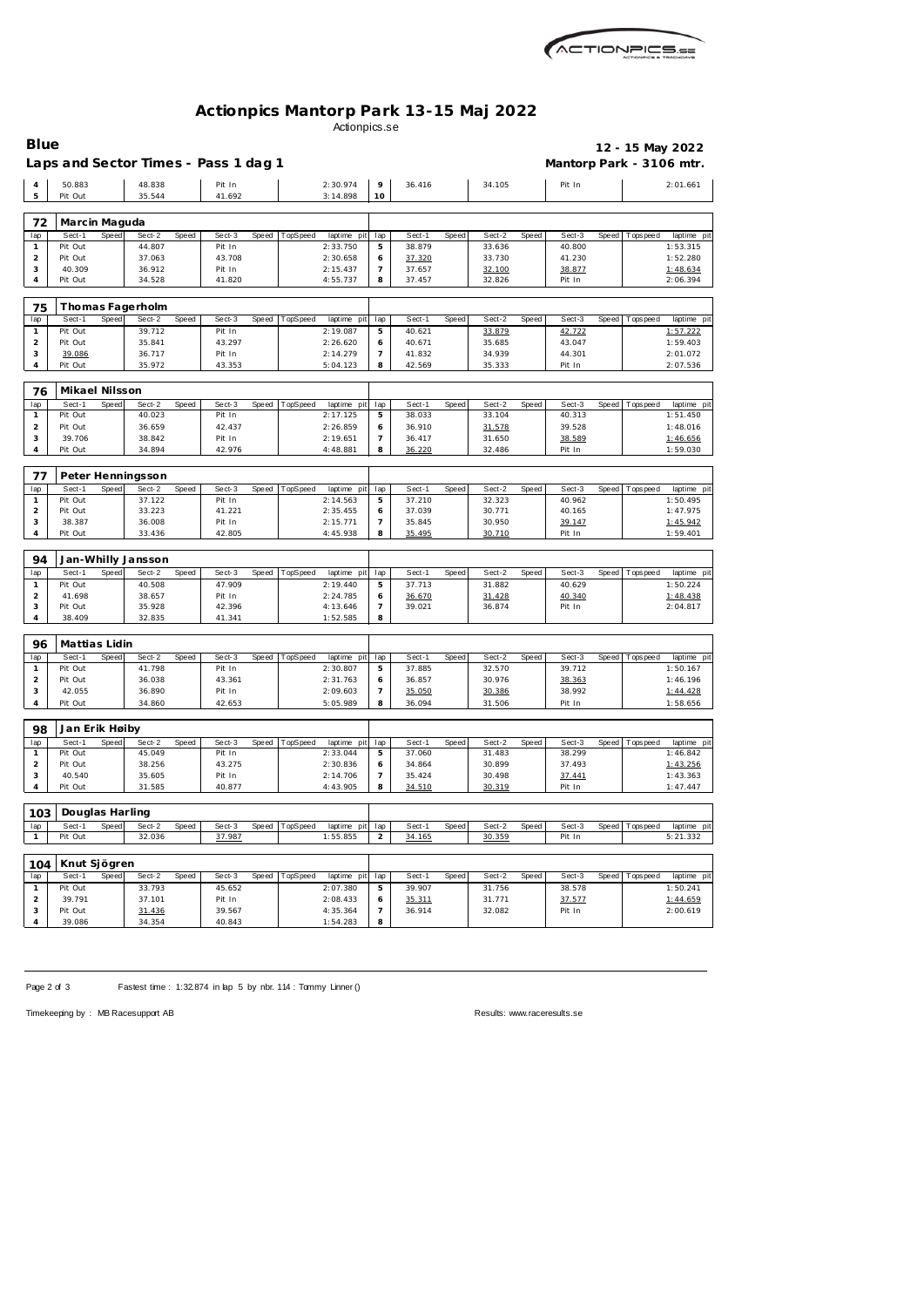

## **Actionpics Mantorp Park 13-15 Maj 2022** Actionpics.se

| <b>Blue</b>         |                         |       |                                      |       |                  |       |                |                         |                       |                  |       |                  |       |                          |       |             | 12 - 15 May 2022        |
|---------------------|-------------------------|-------|--------------------------------------|-------|------------------|-------|----------------|-------------------------|-----------------------|------------------|-------|------------------|-------|--------------------------|-------|-------------|-------------------------|
|                     |                         |       | Laps and Sector Times - Pass 1 dag 1 |       |                  |       |                |                         |                       |                  |       |                  |       | Mantorp Park - 3106 mtr. |       |             |                         |
| $\overline{4}$      | 50.883                  |       | 48.838                               |       | Pit In           |       |                | 2:30.974                | 9                     | 36.416           |       | 34.105           |       | Pit In                   |       |             | 2:01.661                |
| 5                   | Pit Out                 |       | 35.544                               |       | 41.692           |       |                | 3:14.898                | 10                    |                  |       |                  |       |                          |       |             |                         |
|                     |                         |       |                                      |       |                  |       |                |                         |                       |                  |       |                  |       |                          |       |             |                         |
| 72                  | Marcin Maguda<br>Sect-1 | Speed | Sect-2                               | Speed | Sect-3           | Speed | TopSpeed       |                         |                       | Sect-1           | Speed | Sect-2           | Speed | Sect-3                   | Speed |             |                         |
| lap<br>$\mathbf{1}$ | Pit Out                 |       | 44.807                               |       | Pit In           |       |                | laptime pit<br>2:33.750 | lap<br>5              | 38.879           |       | 33.636           |       | 40.800                   |       | Tops pee d  | laptime pit<br>1:53.315 |
| $\overline{2}$      | Pit Out                 |       | 37.063                               |       | 43.708           |       |                | 2:30.658                | 6                     | 37.320           |       | 33.730           |       | 41.230                   |       |             | 1:52.280                |
| 3                   | 40.309                  |       | 36.912                               |       | Pit In           |       |                | 2:15.437                | $\overline{7}$        | 37.657           |       | 32.100           |       | 38.877                   |       |             | 1:48.634                |
| 4                   | Pit Out                 |       | 34.528                               |       | 41.820           |       |                | 4:55.737                | 8                     | 37.457           |       | 32.826           |       | Pit In                   |       |             | 2:06.394                |
| 75                  |                         |       | Thomas Fagerholm                     |       |                  |       |                |                         |                       |                  |       |                  |       |                          |       |             |                         |
| lap                 | Sect-1                  | Speed | Sect-2                               | Speed | Sect-3           | Speed | TopSpeed       | laptime pit             | lap                   | Sect-1           | Speed | Sect-2           | Speed | Sect-3                   | Speed | Tops pee d  | laptime pit             |
| $\mathbf{1}$        | Pit Out                 |       | 39.712                               |       | Pit In           |       |                | 2:19.087                | 5                     | 40.621           |       | 33.879           |       | 42.722                   |       |             | 1:57.222                |
| $\overline{2}$      | Pit Out                 |       | 35.841                               |       | 43.297           |       |                | 2:26.620                | 6                     | 40.671           |       | 35.685           |       | 43.047                   |       |             | 1:59.403                |
| 3                   | 39.086                  |       | 36.717                               |       | Pit In           |       |                | 2:14.279                | $\overline{7}$        | 41.832           |       | 34.939           |       | 44.301                   |       |             | 2:01.072                |
| 4                   | Pit Out                 |       | 35.972                               |       | 43.353           |       |                | 5:04.123                | 8                     | 42.569           |       | 35.333           |       | Pit In                   |       |             | 2:07.536                |
| 76                  | Mikael Nilsson          |       |                                      |       |                  |       |                |                         |                       |                  |       |                  |       |                          |       |             |                         |
| lap                 | Sect-1                  | Speed | Sect-2                               | Speed | Sect-3           | Speed | TopSpeed       | laptime pit             | lap                   | Sect-1           | Speed | Sect-2           | Speed | Sect-3                   | Speed | T ops pee d | laptime pit             |
| $\mathbf{1}$        | Pit Out                 |       | 40.023                               |       | Pit In           |       |                | 2:17.125                | 5                     | 38.033           |       | 33.104           |       | 40.313                   |       |             | 1:51.450                |
| $\overline{2}$      | Pit Out                 |       | 36.659                               |       | 42.437           |       |                | 2:26.859                | 6                     | 36.910           |       | 31.578           |       | 39.528                   |       |             | 1:48.016                |
| 3<br>4              | 39.706<br>Pit Out       |       | 38.842<br>34.894                     |       | Pit In<br>42.976 |       |                | 2:19.651<br>4:48.881    | 7<br>8                | 36.417<br>36.220 |       | 31.650<br>32.486 |       | 38.589<br>Pit In         |       |             | 1:46.656<br>1:59.030    |
|                     |                         |       |                                      |       |                  |       |                |                         |                       |                  |       |                  |       |                          |       |             |                         |
| 77                  |                         |       | Peter Henningsson                    |       |                  |       |                |                         |                       |                  |       |                  |       |                          |       |             |                         |
| lap                 | Sect-1                  | Speed | Sect-2                               | Speed | Sect-3           | Speed | TopSpeed       | laptime pit             | lap                   | Sect-1           | Speed | Sect-2           | Speed | Sect-3                   | Speed | Tops pee d  | laptime pit             |
| $\mathbf{1}$        | Pit Out                 |       | 37.122                               |       | Pit In           |       |                | 2:14.563                | 5                     | 37.210           |       | 32.323           |       | 40.962                   |       |             | 1:50.495                |
| $\overline{2}$<br>3 | Pit Out<br>38.387       |       | 33.223<br>36.008                     |       | 41.221<br>Pit In |       |                | 2:35.455<br>2:15.771    | 6<br>$\overline{7}$   | 37.039<br>35.845 |       | 30.771<br>30.950 |       | 40.165<br>39.147         |       |             | 1:47.975<br>1:45.942    |
| 4                   | Pit Out                 |       | 33.436                               |       | 42.805           |       |                | 4:45.938                | 8                     | 35.495           |       | 30.710           |       | Pit In                   |       |             | 1:59.401                |
|                     |                         |       |                                      |       |                  |       |                |                         |                       |                  |       |                  |       |                          |       |             |                         |
| 94<br>lap           | Sect-1                  | Speed | Jan-Whilly Jansson<br>Sect-2         | Speed | Sect-3           | Speed | TopSpeed       | laptime pit             | lap                   | Sect-1           | Speed | Sect-2           | Speed | Sect-3                   | Speed | Tops pee d  | laptime pit             |
| $\mathbf{1}$        | Pit Out                 |       | 40.508                               |       | 47.909           |       |                | 2:19.440                | 5                     | 37.713           |       | 31.882           |       | 40.629                   |       |             | 1:50.224                |
| $\overline{2}$      | 41.698                  |       | 38.657                               |       | Pit In           |       |                | 2:24.785                | 6                     | 36.670           |       | 31.428           |       | 40.340                   |       |             | 1:48.438                |
| 3                   | Pit Out                 |       | 35.928                               |       | 42.396           |       |                | 4:13.646                | $\overline{7}$        | 39.021           |       | 36.874           |       | Pit In                   |       |             | 2:04.817                |
| 4                   | 38.409                  |       | 32.835                               |       | 41.341           |       |                | 1:52.585                | 8                     |                  |       |                  |       |                          |       |             |                         |
| 96                  | Mattias Lidin           |       |                                      |       |                  |       |                |                         |                       |                  |       |                  |       |                          |       |             |                         |
| lap                 | Sect-1                  | Speed | Sect-2                               | Speed | Sect-3           | Speed | TopSpeed       | laptime pit             | lap                   | Sect-1           | Speed | Sect-2           | Speed | Sect-3                   | Speed | T ops pee d | laptime pit             |
| $\mathbf{1}$        | Pit Out                 |       | 41.798                               |       | Pit In           |       |                | 2:30.807                | 5                     | 37.885           |       | 32.570           |       | 39.712                   |       |             | 1:50.167                |
| $\overline{2}$      | Pit Out                 |       | 36.038                               |       | 43.361           |       |                | 2:31.763                | 6                     | 36.857           |       | 30.976           |       | 38.363                   |       |             | 1:46.196                |
| 3                   | 42.055                  |       | 36.890                               |       | Pit In           |       |                | 2:09.603                | 7                     | 35.050           |       | 30.386           |       | 38.992                   |       |             | 1:44.428                |
| 4                   | Pit Out                 |       | 34.860                               |       | 42.653           |       |                | 5:05.989                | 8                     | 36.094           |       | 31.506           |       | Pit In                   |       |             | 1:58.656                |
| 98                  | Jan Erik Høiby          |       |                                      |       |                  |       |                |                         |                       |                  |       |                  |       |                          |       |             |                         |
| lap                 | Sect-1                  | Speed | Sect-2                               | Speed | Sect-3           |       | Speed TopSpeed | laptime pit             | lap                   | Sect-1           | Speed | Sect-2           | Speed | Sect-3                   | Speed | T ops pee d | laptime pit             |
| $\mathbf{1}$        | Pit Out                 |       | 45.049                               |       | Pit In           |       |                | 2:33.044                | 5                     | 37.060           |       | 31.483           |       | 38.299                   |       |             | 1:46.842                |
| $\overline{2}$<br>3 | Pit Out<br>40.540       |       | 38.256<br>35.605                     |       | 43.275<br>Pit In |       |                | 2:30.836<br>2:14.706    | 6<br>$\overline{7}$   | 34.864<br>35.424 |       | 30.899<br>30.498 |       | 37.493<br>37.441         |       |             | 1:43.256<br>1:43.363    |
| 4                   | Pit Out                 |       | 31.585                               |       | 40.877           |       |                | 4:43.905                | 8                     | 34.510           |       | 30.319           |       | Pit In                   |       |             | 1:47.447                |
|                     |                         |       |                                      |       |                  |       |                |                         |                       |                  |       |                  |       |                          |       |             |                         |
| 103                 | Douglas Harling         |       |                                      |       |                  |       |                |                         |                       |                  |       |                  |       |                          |       |             |                         |
| lap<br>$\mathbf{1}$ | Sect-1<br>Pit Out       | Speed | Sect-2<br>32.036                     | Speed | Sect-3<br>37.987 | Speed | TopSpeed       | laptime pit<br>1:55.855 | lap<br>$\overline{2}$ | Sect-1<br>34.165 | Speed | Sect-2<br>30.359 | Speed | Sect-3<br>Pit In         | Speed | Tops pee d  | laptime pit<br>5:21.332 |
|                     |                         |       |                                      |       |                  |       |                |                         |                       |                  |       |                  |       |                          |       |             |                         |
| 104                 | Knut Sjögren            |       |                                      |       |                  |       |                |                         |                       |                  |       |                  |       |                          |       |             |                         |
| lap                 | Sect-1                  | Speed | Sect-2                               | Speed | Sect-3           | Speed | TopSpeed       | laptime pit             | lap                   | Sect-1           | Speed | Sect-2           | Speed | Sect-3                   | Speed | Tops peed   | laptime pit             |
| $\mathbf{1}$        | Pit Out                 |       | 33.793                               |       | 45.652           |       |                | 2:07.380                | 5                     | 39.907           |       | 31.756           |       | 38.578                   |       |             | 1:50.241                |
| $\overline{2}$<br>3 | 39.791<br>Pit Out       |       | 37.101<br>31.436                     |       | Pit In<br>39.567 |       |                | 2:08.433<br>4:35.364    | 6<br>$\overline{7}$   | 35.311<br>36.914 |       | 31.771<br>32.082 |       | 37.577<br>Pit In         |       |             | 1:44.659<br>2:00.619    |
| 4                   | 39.086                  |       | 34.354                               |       | 40.843           |       |                | 1:54.283                | 8                     |                  |       |                  |       |                          |       |             |                         |
|                     |                         |       |                                      |       |                  |       |                |                         |                       |                  |       |                  |       |                          |       |             |                         |

Page 2 of 3 Fastest time : 1:32.874 in lap 5 by nbr. 114 : Tommy Linner ()

Timekeeping by : MB Racesupport AB Results:<www.raceresults.se>